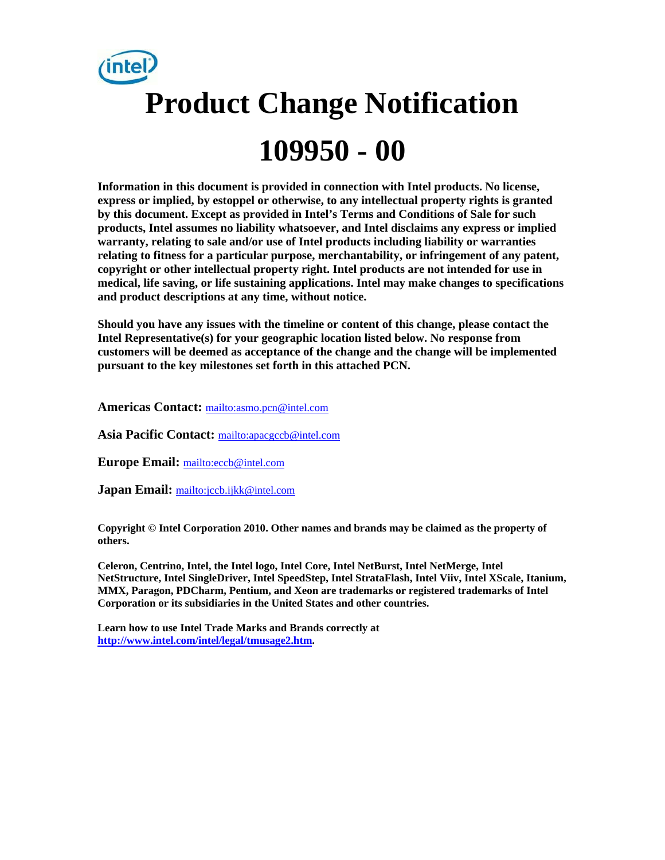# **Product Change Notification 109950 - 00**

**Information in this document is provided in connection with Intel products. No license, express or implied, by estoppel or otherwise, to any intellectual property rights is granted by this document. Except as provided in Intel's Terms and Conditions of Sale for such products, Intel assumes no liability whatsoever, and Intel disclaims any express or implied warranty, relating to sale and/or use of Intel products including liability or warranties relating to fitness for a particular purpose, merchantability, or infringement of any patent, copyright or other intellectual property right. Intel products are not intended for use in medical, life saving, or life sustaining applications. Intel may make changes to specifications and product descriptions at any time, without notice.** 

**Should you have any issues with the timeline or content of this change, please contact the Intel Representative(s) for your geographic location listed below. No response from customers will be deemed as acceptance of the change and the change will be implemented pursuant to the key milestones set forth in this attached PCN.** 

**Americas Contact:** mailto:asmo.pcn@intel.com

**Asia Pacific Contact:** mailto:apacgccb@intel.com

**Europe Email:** mailto:eccb@intel.com

**Japan Email:** mailto:jccb.ijkk@intel.com

**Copyright © Intel Corporation 2010. Other names and brands may be claimed as the property of others.**

**Celeron, Centrino, Intel, the Intel logo, Intel Core, Intel NetBurst, Intel NetMerge, Intel NetStructure, Intel SingleDriver, Intel SpeedStep, Intel StrataFlash, Intel Viiv, Intel XScale, Itanium, MMX, Paragon, PDCharm, Pentium, and Xeon are trademarks or registered trademarks of Intel Corporation or its subsidiaries in the United States and other countries.** 

**Learn how to use Intel Trade Marks and Brands correctly at http://www.intel.com/intel/legal/tmusage2.htm.**